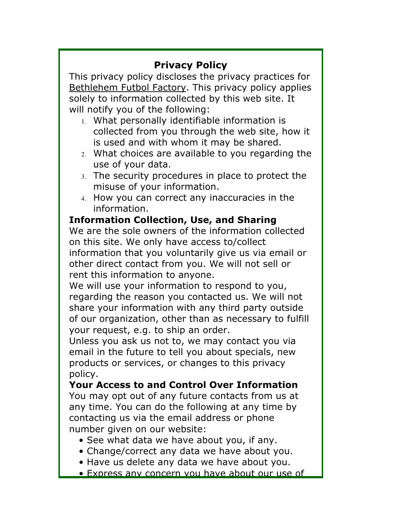# **Privacy Policy**

This privacy policy discloses the privacy practices for Bethlehem Futbol Factory. This privacy policy applies solely to information collected by this web site. It will notify you of the following:

- 1. What personally identifiable information is collected from you through the web site, how it is used and with whom it may be shared.
- 2. What choices are available to you regarding the use of your data.
- 3. The security procedures in place to protect the misuse of your information.
- 4. How you can correct any inaccuracies in the information.

**Information Collection, Use, and Sharing** We are the sole owners of the information collected on this site. We only have access to/collect information that you voluntarily give us via email or other direct contact from you. We will not sell or rent this information to anyone.

We will use your information to respond to you, regarding the reason you contacted us. We will not share your information with any third party outside of our organization, other than as necessary to fulfill your request, e.g. to ship an order.

Unless you ask us not to, we may contact you via email in the future to tell you about specials, new products or services, or changes to this privacy policy.

**Your Access to and Control Over Information** You may opt out of any future contacts from us at any time. You can do the following at any time by contacting us via the email address or phone number given on our website:

- See what data we have about you, if any.
- Change/correct any data we have about you.
- Have us delete any data we have about you.
- Express any concern you have about our use of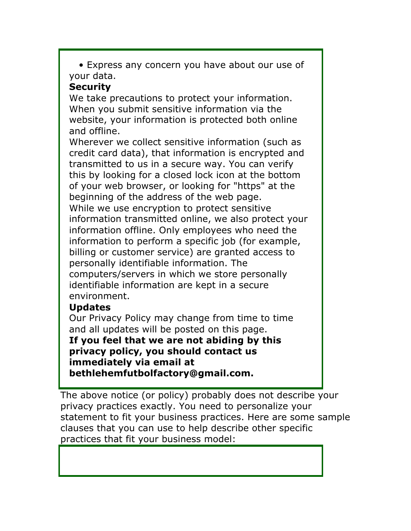• Express any concern you have about our use of your data.

## **Security**

We take precautions to protect your information. When you submit sensitive information via the website, your information is protected both online and offline.

Wherever we collect sensitive information (such as credit card data), that information is encrypted and transmitted to us in a secure way. You can verify this by looking for a closed lock icon at the bottom of your web browser, or looking for "https" at the beginning of the address of the web page. While we use encryption to protect sensitive information transmitted online, we also protect your information offline. Only employees who need the information to perform a specific job (for example, billing or customer service) are granted access to personally identifiable information. The computers/servers in which we store personally identifiable information are kept in a secure environment.

# **Updates**

Our Privacy Policy may change from time to time and all updates will be posted on this page. **If you feel that we are not abiding by this privacy policy, you should contact us immediately via email at bethlehemfutbolfactory@gmail.com.**

The above notice (or policy) probably does not describe your privacy practices exactly. You need to personalize your statement to fit your business practices. Here are some sample clauses that you can use to help describe other specific practices that fit your business model: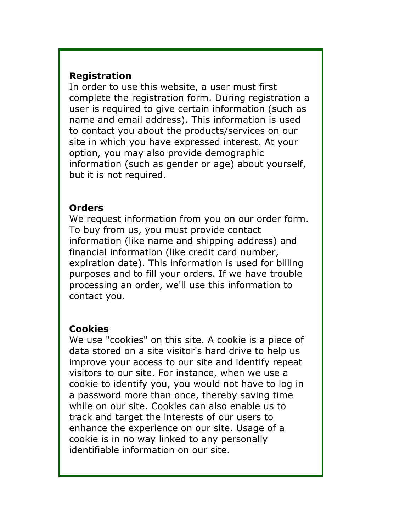#### **Registration**

In order to use this website, a user must first complete the registration form. During registration a user is required to give certain information (such as name and email address). This information is used to contact you about the products/services on our site in which you have expressed interest. At your option, you may also provide demographic information (such as gender or age) about yourself, but it is not required.

#### **Orders**

We request information from you on our order form. To buy from us, you must provide contact information (like name and shipping address) and financial information (like credit card number, expiration date). This information is used for billing purposes and to fill your orders. If we have trouble processing an order, we'll use this information to contact you.

### **Cookies**

We use "cookies" on this site. A cookie is a piece of data stored on a site visitor's hard drive to help us improve your access to our site and identify repeat visitors to our site. For instance, when we use a cookie to identify you, you would not have to log in a password more than once, thereby saving time while on our site. Cookies can also enable us to track and target the interests of our users to enhance the experience on our site. Usage of a cookie is in no way linked to any personally identifiable information on our site.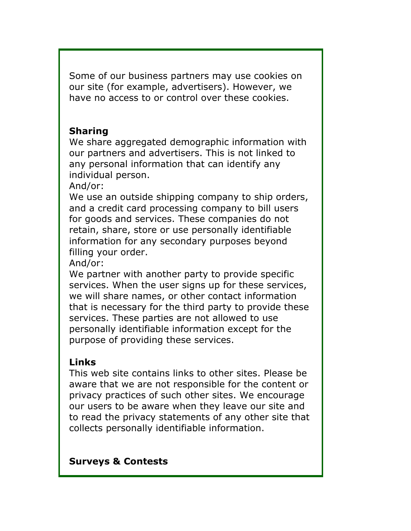Some of our business partners may use cookies on our site (for example, advertisers). However, we have no access to or control over these cookies.

### **Sharing**

We share aggregated demographic information with our partners and advertisers. This is not linked to any personal information that can identify any individual person.

And/or:

We use an outside shipping company to ship orders, and a credit card processing company to bill users for goods and services. These companies do not retain, share, store or use personally identifiable information for any secondary purposes beyond filling your order.

And/or:

We partner with another party to provide specific services. When the user signs up for these services, we will share names, or other contact information that is necessary for the third party to provide these services. These parties are not allowed to use personally identifiable information except for the purpose of providing these services.

# **Links**

This web site contains links to other sites. Please be aware that we are not responsible for the content or privacy practices of such other sites. We encourage our users to be aware when they leave our site and to read the privacy statements of any other site that collects personally identifiable information.

### **Surveys & Contests**